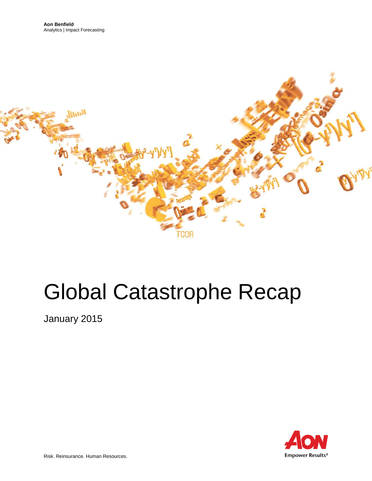

# Global Catastrophe Recap

January 2015

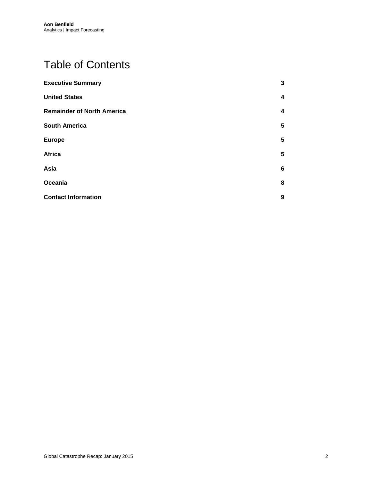# Table of Contents

| <b>Executive Summary</b>          | $\mathbf{3}$    |
|-----------------------------------|-----------------|
| <b>United States</b>              | 4               |
| <b>Remainder of North America</b> | 4               |
| <b>South America</b>              | 5               |
| <b>Europe</b>                     | 5               |
| Africa                            | 5               |
| Asia                              | $6\phantom{1}6$ |
| Oceania                           | 8               |
| <b>Contact Information</b>        | 9               |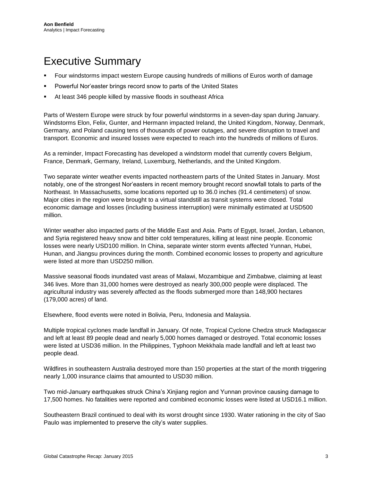# <span id="page-2-0"></span>Executive Summary

- Four windstorms impact western Europe causing hundreds of millions of Euros worth of damage
- Powerful Nor'easter brings record snow to parts of the United States
- At least 346 people killed by massive floods in southeast Africa

Parts of Western Europe were struck by four powerful windstorms in a seven-day span during January. Windstorms Elon, Felix, Gunter, and Hermann impacted Ireland, the United Kingdom, Norway, Denmark, Germany, and Poland causing tens of thousands of power outages, and severe disruption to travel and transport. Economic and insured losses were expected to reach into the hundreds of millions of Euros.

As a reminder, Impact Forecasting has developed a windstorm model that currently covers Belgium, France, Denmark, Germany, Ireland, Luxemburg, Netherlands, and the United Kingdom.

Two separate winter weather events impacted northeastern parts of the United States in January. Most notably, one of the strongest Nor'easters in recent memory brought record snowfall totals to parts of the Northeast. In Massachusetts, some locations reported up to 36.0 inches (91.4 centimeters) of snow. Major cities in the region were brought to a virtual standstill as transit systems were closed. Total economic damage and losses (including business interruption) were minimally estimated at USD500 million.

Winter weather also impacted parts of the Middle East and Asia. Parts of Egypt, Israel, Jordan, Lebanon, and Syria registered heavy snow and bitter cold temperatures, killing at least nine people. Economic losses were nearly USD100 million. In China, separate winter storm events affected Yunnan, Hubei, Hunan, and Jiangsu provinces during the month. Combined economic losses to property and agriculture were listed at more than USD250 million.

Massive seasonal floods inundated vast areas of Malawi, Mozambique and Zimbabwe, claiming at least 346 lives. More than 31,000 homes were destroyed as nearly 300,000 people were displaced. The agricultural industry was severely affected as the floods submerged more than 148,900 hectares (179,000 acres) of land.

Elsewhere, flood events were noted in Bolivia, Peru, Indonesia and Malaysia.

Multiple tropical cyclones made landfall in January. Of note, Tropical Cyclone Chedza struck Madagascar and left at least 89 people dead and nearly 5,000 homes damaged or destroyed. Total economic losses were listed at USD36 million. In the Philippines, Typhoon Mekkhala made landfall and left at least two people dead.

Wildfires in southeastern Australia destroyed more than 150 properties at the start of the month triggering nearly 1,000 insurance claims that amounted to USD30 million.

Two mid-January earthquakes struck China's Xinjiang region and Yunnan province causing damage to 17,500 homes. No fatalities were reported and combined economic losses were listed at USD16.1 million.

Southeastern Brazil continued to deal with its worst drought since 1930. Water rationing in the city of Sao Paulo was implemented to preserve the city's water supplies.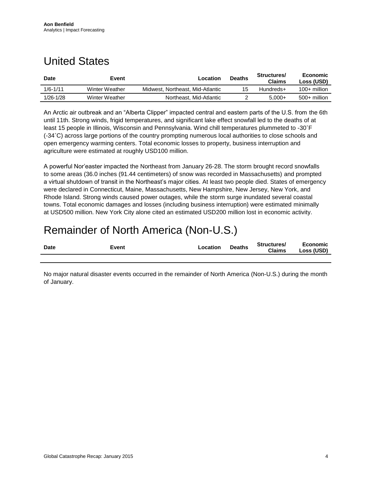## <span id="page-3-0"></span>United States

| <b>Date</b>   | Event          | Location                         | <b>Deaths</b> | Structures/<br><b>Claims</b> | Economic<br>Loss (USD) |
|---------------|----------------|----------------------------------|---------------|------------------------------|------------------------|
| $1/6 - 1/11$  | Winter Weather | Midwest, Northeast, Mid-Atlantic | 15            | Hundreds+                    | $100+$ million         |
| $1/26 - 1/28$ | Winter Weather | Northeast, Mid-Atlantic          |               | $5.000+$                     | 500+ million           |

An Arctic air outbreak and an "Alberta Clipper" impacted central and eastern parts of the U.S. from the 6th until 11th. Strong winds, frigid temperatures, and significant lake effect snowfall led to the deaths of at least 15 people in Illinois, Wisconsin and Pennsylvania. Wind chill temperatures plummeted to -30˚F (-34˚C) across large portions of the country prompting numerous local authorities to close schools and open emergency warming centers. Total economic losses to property, business interruption and agriculture were estimated at roughly USD100 million.

A powerful Nor'easter impacted the Northeast from January 26-28. The storm brought record snowfalls to some areas (36.0 inches (91.44 centimeters) of snow was recorded in Massachusetts) and prompted a virtual shutdown of transit in the Northeast's major cities. At least two people died. States of emergency were declared in Connecticut, Maine, Massachusetts, New Hampshire, New Jersey, New York, and Rhode Island. Strong winds caused power outages, while the storm surge inundated several coastal towns. Total economic damages and losses (including business interruption) were estimated minimally at USD500 million. New York City alone cited an estimated USD200 million lost in economic activity.

## <span id="page-3-1"></span>Remainder of North America (Non-U.S.)

| <b>Date</b> | Event | Location | <b>Deaths</b> | Structures/<br><b>Claims</b> | Economic<br>Loss (USD) |
|-------------|-------|----------|---------------|------------------------------|------------------------|
|             |       |          |               |                              |                        |

No major natural disaster events occurred in the remainder of North America (Non-U.S.) during the month of January.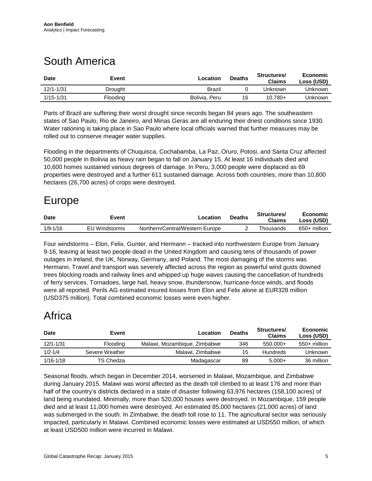# <span id="page-4-0"></span>South America

| <b>Date</b>   | Event    | Location      | <b>Deaths</b> | <b>Structures/</b><br><b>Claims</b> | Economic<br>Loss (USD) |
|---------------|----------|---------------|---------------|-------------------------------------|------------------------|
| $12/1 - 1/31$ | Drought  | Brazil        |               | Unknown                             | Unknown                |
| $1/15 - 1/31$ | Flooding | Bolivia, Peru | 16            | 10.780+                             | Unknown                |

Parts of Brazil are suffering their worst drought since records began 84 years ago. The southeastern states of Sao Paulo, Rio de Janeiro, and Minas Geras are all enduring their driest conditions since 1930. Water rationing is taking place in Sao Paulo where local officials warned that further measures may be rolled out to conserve meager water supplies.

Flooding in the departments of Chuquisca, Cochabamba, La Paz, Oruro, Potosi, and Santa Cruz affected 50,000 people in Bolivia as heavy rain began to fall on January 15. At least 16 individuals died and 10,600 homes sustained various degrees of damage. In Peru, 3,000 people were displaced as 69 properties were destroyed and a further 611 sustained damage. Across both countries, more than 10,800 hectares (26,700 acres) of crops were destroyed.

#### <span id="page-4-1"></span>Europe

| <b>Date</b> | Event         | Location                        | <b>Deaths</b> | Structures/<br><b>Claims</b> | Economic<br>Loss (USD) |
|-------------|---------------|---------------------------------|---------------|------------------------------|------------------------|
| 1/9-1/16    | EU Windstorms | Northern/Central/Western Europe |               | Thousands                    | 650+ million           |

Four windstorms – Elon, Felix, Gunter, and Hermann – tracked into northwestern Europe from January 9-16, leaving at least two people dead in the United Kingdom and causing tens of thousands of power outages in Ireland, the UK, Norway, Germany, and Poland. The most damaging of the storms was Hermann. Travel and transport was severely affected across the region as powerful wind gusts downed trees blocking roads and railway lines and whipped up huge waves causing the cancellation of hundreds of ferry services. Tornadoes, large hail, heavy snow, thundersnow, hurricane-force winds, and floods were all reported. Perils AG estimated insured losses from Elon and Felix alone at EUR328 million (USD375 million). Total combined economic losses were even higher.

### <span id="page-4-2"></span>Africa

| <b>Date</b>   | Event           | Location                     | <b>Deaths</b> | Structures/<br><b>Claims</b> | Economic<br>Loss (USD) |
|---------------|-----------------|------------------------------|---------------|------------------------------|------------------------|
| $12/1 - 1/31$ | <b>Flooding</b> | Malawi, Mozambique, Zimbabwe | 346           | $550.000+$                   | 550+ million           |
| $1/2 - 1/4$   | Severe Weather  | Malawi, Zimbabwe             | 15            | <b>Hundreds</b>              | Unknown                |
| $1/16 - 1/18$ | TS Chedza       | Madagascar                   | 89            | $5.000+$                     | 36 million             |

Seasonal floods, which began in December 2014, worsened in Malawi, Mozambique, and Zimbabwe during January 2015. Malawi was worst affected as the death toll climbed to at least 176 and more than half of the country's districts declared in a state of disaster following 63,976 hectares (158,100 acres) of land being inundated. Minimally, more than 520,000 houses were destroyed. In Mozambique, 159 people died and at least 11,000 homes were destroyed. An estimated 85,000 hectares (21,000 acres) of land was submerged in the south. In Zimbabwe, the death toll rose to 11. The agricultural sector was seriously impacted, particularly in Malawi. Combined economic losses were estimated at USD550 million, of which at least USD500 million were incurred in Malawi.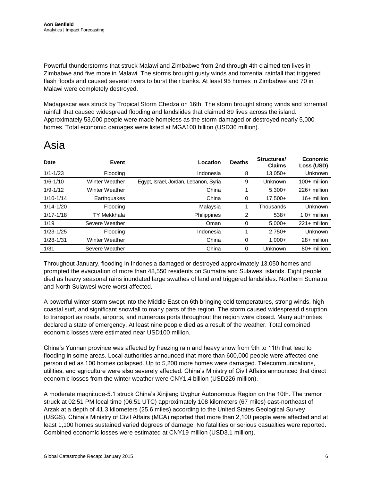Powerful thunderstorms that struck Malawi and Zimbabwe from 2nd through 4th claimed ten lives in Zimbabwe and five more in Malawi. The storms brought gusty winds and torrential rainfall that triggered flash floods and caused several rivers to burst their banks. At least 95 homes in Zimbabwe and 70 in Malawi were completely destroyed.

Madagascar was struck by Tropical Storm Chedza on 16th. The storm brought strong winds and torrential rainfall that caused widespread flooding and landslides that claimed 89 lives across the island. Approximately 53,000 people were made homeless as the storm damaged or destroyed nearly 5,000 homes. Total economic damages were listed at MGA100 billion (USD36 million).

#### <span id="page-5-0"></span>Asia

| <b>Date</b>   | Event          | Location                              | <b>Deaths</b> | Structures/<br><b>Claims</b> | Economic<br>Loss (USD) |
|---------------|----------------|---------------------------------------|---------------|------------------------------|------------------------|
| $1/1 - 1/23$  | Flooding       | Indonesia                             | 8             | $13,050+$                    | Unknown                |
| $1/6 - 1/10$  | Winter Weather | Egypt, Israel, Jordan, Lebanon, Syria | 9             | Unknown                      | 100+ million           |
| $1/9 - 1/12$  | Winter Weather | China                                 |               | $5,300+$                     | 226+ million           |
| $1/10 - 1/14$ | Earthquakes    | China                                 | 0             | $17.500+$                    | 16+ million            |
| $1/14 - 1/20$ | Flooding       | Malaysia                              |               | Thousands                    | Unknown                |
| $1/17 - 1/18$ | TY Mekkhala    | Philippines                           | 2             | $538+$                       | $1.0+$ million         |
| 1/19          | Severe Weather | Oman                                  | 0             | $5,000+$                     | $221 +$ million        |
| $1/23 - 1/25$ | Flooding       | Indonesia                             |               | $2.750+$                     | Unknown                |
| $1/28 - 1/31$ | Winter Weather | China                                 | 0             | $1.000 +$                    | 28+ million            |
| 1/31          | Severe Weather | China                                 | $\Omega$      | Unknown                      | 80+ million            |

Throughout January, flooding in Indonesia damaged or destroyed approximately 13,050 homes and prompted the evacuation of more than 48,550 residents on Sumatra and Sulawesi islands. Eight people died as heavy seasonal rains inundated large swathes of land and triggered landslides. Northern Sumatra and North Sulawesi were worst affected.

A powerful winter storm swept into the Middle East on 6th bringing cold temperatures, strong winds, high coastal surf, and significant snowfall to many parts of the region. The storm caused widespread disruption to transport as roads, airports, and numerous ports throughout the region were closed. Many authorities declared a state of emergency. At least nine people died as a result of the weather. Total combined economic losses were estimated near USD100 million.

China's Yunnan province was affected by freezing rain and heavy snow from 9th to 11th that lead to flooding in some areas. Local authorities announced that more than 600,000 people were affected one person died as 100 homes collapsed. Up to 5,200 more homes were damaged. Telecommunications, utilities, and agriculture were also severely affected. China's Ministry of Civil Affairs announced that direct economic losses from the winter weather were CNY1.4 billion (USD226 million).

A moderate magnitude-5.1 struck China's Xinjiang Uyghur Autonomous Region on the 10th. The tremor struck at 02:51 PM local time (06:51 UTC) approximately 108 kilometers (67 miles) east-northeast of Arzak at a depth of 41.3 kilometers (25.6 miles) according to the United States Geological Survey (USGS). China's Ministry of Civil Affairs (MCA) reported that more than 2,100 people were affected and at least 1,100 homes sustained varied degrees of damage. No fatalities or serious casualties were reported. Combined economic losses were estimated at CNY19 million (USD3.1 million).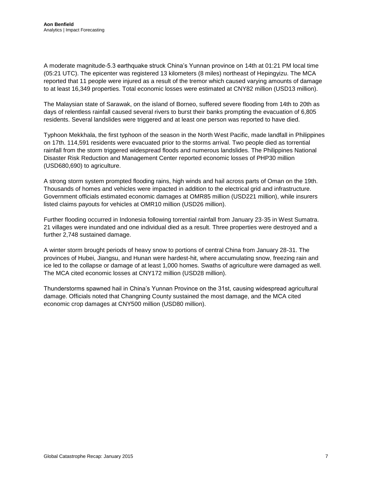A moderate magnitude-5.3 earthquake struck China's Yunnan province on 14th at 01:21 PM local time (05:21 UTC). The epicenter was registered 13 kilometers (8 miles) northeast of Hepingyizu. The MCA reported that 11 people were injured as a result of the tremor which caused varying amounts of damage to at least 16,349 properties. Total economic losses were estimated at CNY82 million (USD13 million).

The Malaysian state of Sarawak, on the island of Borneo, suffered severe flooding from 14th to 20th as days of relentless rainfall caused several rivers to burst their banks prompting the evacuation of 6,805 residents. Several landslides were triggered and at least one person was reported to have died.

Typhoon Mekkhala, the first typhoon of the season in the North West Pacific, made landfall in Philippines on 17th. 114,591 residents were evacuated prior to the storms arrival. Two people died as torrential rainfall from the storm triggered widespread floods and numerous landslides. The Philippines National Disaster Risk Reduction and Management Center reported economic losses of PHP30 million (USD680,690) to agriculture.

A strong storm system prompted flooding rains, high winds and hail across parts of Oman on the 19th. Thousands of homes and vehicles were impacted in addition to the electrical grid and infrastructure. Government officials estimated economic damages at OMR85 million (USD221 million), while insurers listed claims payouts for vehicles at OMR10 million (USD26 million).

Further flooding occurred in Indonesia following torrential rainfall from January 23-35 in West Sumatra. 21 villages were inundated and one individual died as a result. Three properties were destroyed and a further 2,748 sustained damage.

A winter storm brought periods of heavy snow to portions of central China from January 28-31. The provinces of Hubei, Jiangsu, and Hunan were hardest-hit, where accumulating snow, freezing rain and ice led to the collapse or damage of at least 1,000 homes. Swaths of agriculture were damaged as well. The MCA cited economic losses at CNY172 million (USD28 million).

<span id="page-6-0"></span>Thunderstorms spawned hail in China's Yunnan Province on the 31st, causing widespread agricultural damage. Officials noted that Changning County sustained the most damage, and the MCA cited economic crop damages at CNY500 million (USD80 million).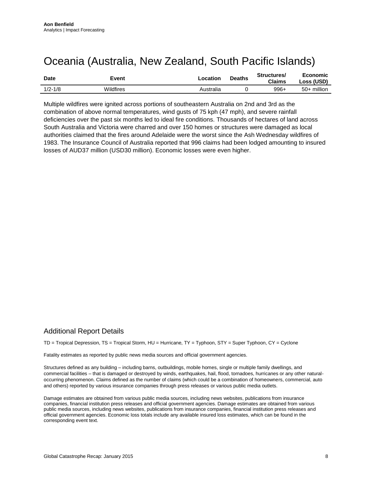#### <span id="page-7-0"></span>Oceania (Australia, New Zealand, South Pacific Islands)

| <b>Date</b> | Event     | Location  | <b>Deaths</b> | Structures/<br><b>Claims</b> | Economic<br>Loss (USD) |
|-------------|-----------|-----------|---------------|------------------------------|------------------------|
| $1/2 - 1/8$ | Wildfires | Australia |               | $996+$                       | 50+ million            |

Multiple wildfires were ignited across portions of southeastern Australia on 2nd and 3rd as the combination of above normal temperatures, wind gusts of 75 kph (47 mph), and severe rainfall deficiencies over the past six months led to ideal fire conditions. Thousands of hectares of land across South Australia and Victoria were charred and over 150 homes or structures were damaged as local authorities claimed that the fires around Adelaide were the worst since the Ash Wednesday wildfires of 1983. The Insurance Council of Australia reported that 996 claims had been lodged amounting to insured losses of AUD37 million (USD30 million). Economic losses were even higher.

#### Additional Report Details

TD = Tropical Depression, TS = Tropical Storm, HU = Hurricane, TY = Typhoon, STY = Super Typhoon, CY = Cyclone

Fatality estimates as reported by public news media sources and official government agencies.

Structures defined as any building – including barns, outbuildings, mobile homes, single or multiple family dwellings, and commercial facilities – that is damaged or destroyed by winds, earthquakes, hail, flood, tornadoes, hurricanes or any other naturaloccurring phenomenon. Claims defined as the number of claims (which could be a combination of homeowners, commercial, auto and others) reported by various insurance companies through press releases or various public media outlets.

Damage estimates are obtained from various public media sources, including news websites, publications from insurance companies, financial institution press releases and official government agencies. Damage estimates are obtained from various public media sources, including news websites, publications from insurance companies, financial institution press releases and official government agencies. Economic loss totals include any available insured loss estimates, which can be found in the corresponding event text.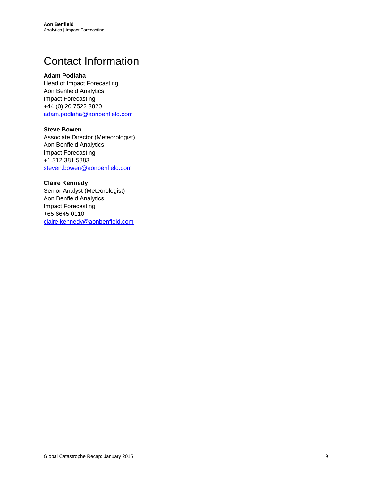# <span id="page-8-0"></span>Contact Information

#### **Adam Podlaha**

Head of Impact Forecasting Aon Benfield Analytics Impact Forecasting +44 (0) 20 7522 3820 [adam.podlaha@aonbenfield.com](mailto:adam.podlaha@aonbenfield.com)

#### **Steve Bowen**

Associate Director (Meteorologist) Aon Benfield Analytics Impact Forecasting +1.312.381.5883 [steven.bowen@aonbenfield.com](mailto:steven.bowen@aonbenfield.com)

#### **Claire Kennedy**

Senior Analyst (Meteorologist) Aon Benfield Analytics Impact Forecasting +65 6645 0110 [claire.kennedy@aonbenfield.com](mailto:claire.kennedy@aonbenfield.com)